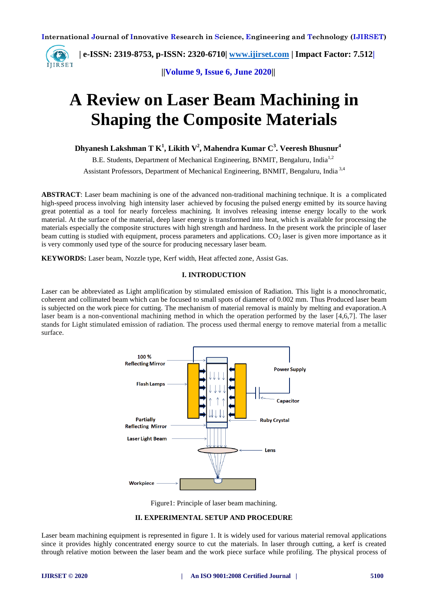**| e-ISSN: 2319-8753, p-ISSN: 2320-6710| [www.ijirset.com](http://www.ijirset.com/) | Impact Factor: 7.512|** IJIRSET

 **||Volume 9, Issue 6, June 2020||** 

# **A Review on Laser Beam Machining in Shaping the Composite Materials**

**Dhyanesh Lakshman T K<sup>1</sup> , Likith V<sup>2</sup> , Mahendra Kumar C<sup>3</sup> . Veeresh Bhusnur<sup>4</sup>**

B.E. Students, Department of Mechanical Engineering, BNMIT, Bengaluru, India<sup>1,2</sup>

Assistant Professors, Department of Mechanical Engineering, BNMIT, Bengaluru, India 3,4

**ABSTRACT**: Laser beam machining is one of the advanced non-traditional machining technique. It is a complicated high-speed process involving high intensity laser achieved by focusing the pulsed [energy](https://www.sciencedirect.com/topics/engineering/energy-engineering) emitted by its source having great potential as a tool for nearly forceless machining. It involves releasing intense energy locally to the work material. At the surface of the material, deep laser energy is transformed into heat, which is available for processing the materials especially the composite structures with high strength and hardness. In the present work the principle of laser beam cutting is studied with equipment, process parameters and applications.  $CO<sub>2</sub>$  laser is given more importance as it is very commonly used type of the source for producing necessary laser beam.

**KEYWORDS:** Laser beam, Nozzle type, Kerf width, Heat affected zone, Assist Gas.

## **I. INTRODUCTION**

Laser can be abbreviated as Light amplification by stimulated emission of Radiation. This light is a monochromatic, coherent and collimated beam which can be focused to small spots of diameter of 0.002 mm. Thus Produced laser beam is subjected on the work piece for cutting. The mechanism of material removal is mainly by melting and evaporation.A laser beam is a non-conventional machining method in which the operation performed by the laser [4,6,7]. The laser stands for Light stimulated emission of radiation. The process used thermal energy to remove material from a metallic surface.



Figure1: Principle of laser beam machining.

## **II. EXPERIMENTAL SETUP AND PROCEDURE**

Laser beam machining equipment is represented in figure 1. It is widely used for various material removal applications since it provides highly concentrated energy source to cut the materials. In laser through cutting, a kerf is created through relative motion between the laser beam and the work piece surface while profiling. The physical process of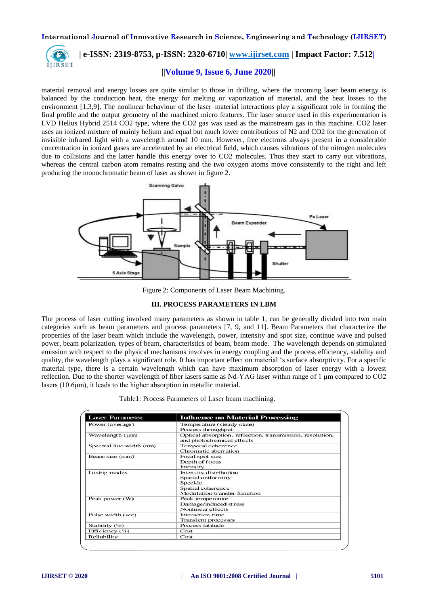

## **||Volume 9, Issue 6, June 2020||**

material removal and energy losses are quite similar to those in drilling, where the incoming laser beam energy is balanced by the conduction heat, the energy for melting or vaporization of material, and the heat losses to the environment [1,3,9]. The nonlinear behaviour of the laser–material interactions play a significant role in forming the final profile and the output geometry of the machined micro features. The laser source used in this experimentation is LVD Helius Hybrid 2514 CO2 type, where the CO2 gas was used as the mainstream gas in this machine. CO2 laser uses an ionized mixture of mainly helium and equal but much lower contributions of N2 and CO2 for the generation of invisible infrared light with a wavelength around 10 mm. However, free electrons always present in a considerable concentration in ionized gases are accelerated by an electrical field, which causes vibrations of the nitrogen molecules due to collisions and the latter handle this energy over to CO2 molecules. Thus they start to carry out vibrations, whereas the central carbon atom remains resting and the two oxygen atoms move consistently to the right and left producing the monochromatic beam of laser as shown in figure 2.



Figure 2: Components of Laser Beam Machining.

#### **III. PROCESS PARAMETERS IN LBM**

The process of laser cutting involved many parameters as shown in table 1, can be generally divided into two main categories such as beam parameters and process parameters [7, 9, and 11]. Beam Parameters that characterize the properties of the laser beam which include the wavelength, power, intensity and spot size, continue wave and pulsed power, beam polarization, types of beam, characteristics of beam, beam mode. The wavelength depends on stimulated emission with respect to the physical mechanisms involves in energy coupling and the process efficiency, stability and quality, the wavelength plays a significant role. It has important effect on material 's surface absorptivity. For a specific material type, there is a certain wavelength which can have maximum absorption of laser energy with a lowest reflection. Due to the shorter wavelength of fiber lasers same as Nd-YAG laser within range of 1 μm compared to CO2 lasers (10.6μm), it leads to the higher absorption in metallic material.

|  |  |  | Table1: Process Parameters of Laser beam machining. |
|--|--|--|-----------------------------------------------------|
|--|--|--|-----------------------------------------------------|

| Laser Parameter          | <b>Influence on Material Processing</b>                                                                      |  |
|--------------------------|--------------------------------------------------------------------------------------------------------------|--|
| Power (average)          | Temperature (steady state)<br>Process throughput                                                             |  |
| Wavelength (µm)          | Optical absorption, reflection, transmission, resolution,<br>and photochemical effects                       |  |
| Spectral line width (nm) | Temporal coherence<br>Chromatic aberration                                                                   |  |
| Beam size (mm)           | Focal spot size<br>Depth of focus<br>Intensity                                                               |  |
| Lasing modes             | Intensity distribution<br>Spatial uniformity<br>Speckle<br>Spatial coherence<br>Modulation transfer function |  |
| Peak power (W)           | Peak temperature<br>Damage/induced st ress<br>Nonlinear effects                                              |  |
| Pulse width (sec)        | Interaction time<br><b>Transient</b> processes                                                               |  |
| Stability $(\%)$         | Process latitude                                                                                             |  |
| Efficiency (%)           | Cost                                                                                                         |  |
| Reliability              | Cost                                                                                                         |  |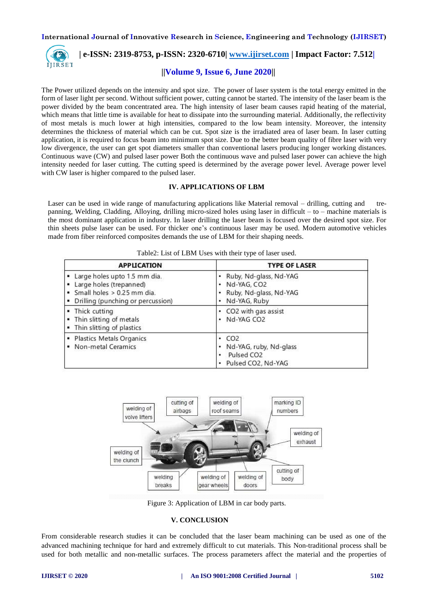

 **| e-ISSN: 2319-8753, p-ISSN: 2320-6710| [www.ijirset.com](http://www.ijirset.com/) | Impact Factor: 7.512|**

## **||Volume 9, Issue 6, June 2020||**

The Power utilized depends on the intensity and spot size. The power of laser system is the total energy emitted in the form of laser light per second. Without sufficient power, cutting cannot be started. The intensity of the laser beam is the power divided by the beam concentrated area. The high intensity of laser beam causes rapid heating of the material, which means that little time is available for heat to dissipate into the surrounding material. Additionally, the reflectivity of most metals is much lower at high intensities, compared to the low beam intensity. Moreover, the intensity determines the thickness of material which can be cut. Spot size is the irradiated area of laser beam. In laser cutting application, it is required to focus beam into minimum spot size. Due to the better beam quality of fibre laser with very low divergence, the user can get spot diameters smaller than conventional lasers producing longer working distances. Continuous wave (CW) and pulsed laser power Both the continuous wave and pulsed laser power can achieve the high intensity needed for laser cutting. The cutting speed is determined by the average power level. Average power level with CW laser is higher compared to the pulsed laser.

## **IV. APPLICATIONS OF LBM**

Laser can be used in wide range of manufacturing applications like Material removal – drilling, cutting and trepanning, Welding, Cladding, Alloying, drilling micro-sized holes using laser in difficult – to – machine materials is the most dominant application in industry. In laser drilling the laser beam is focused over the desired spot size. For thin sheets pulse laser can be used. For thicker one's continuous laser may be used. Modern automotive vehicles made from fiber reinforced composites demands the use of LBM for their shaping needs.

| <b>APPLICATION</b>                                                                                                                    | <b>TYPE OF LASER</b>                                                                           |  |  |
|---------------------------------------------------------------------------------------------------------------------------------------|------------------------------------------------------------------------------------------------|--|--|
| • Large holes upto 1.5 mm dia.<br>Large holes (trepanned)<br>٠<br>· Small holes > 0.25 mm dia.<br>• Drilling (punching or percussion) | Ruby, Nd-glass, Nd-YAG<br>Nd-YAG, CO2<br>۰<br>Ruby, Nd-glass, Nd-YAG<br>٠<br>Nd-YAG, Ruby<br>٠ |  |  |
| • Thick cutting<br>• Thin slitting of metals<br>• Thin slitting of plastics                                                           | CO2 with gas assist<br>٠<br>Nd-YAG CO2<br>٠                                                    |  |  |
| · Plastics Metals Organics<br>• Non-metal Ceramics                                                                                    | CO <sub>2</sub><br>Nd-YAG, ruby, Nd-glass<br>٠<br>Pulsed CO2<br>٠<br>Pulsed CO2, Nd-YAG        |  |  |



Figure 3: Application of LBM in car body parts.

#### **V. CONCLUSION**

From considerable research studies it can be concluded that the laser beam machining can be used as one of the advanced machining technique for hard and extremely difficult to cut materials. This Non-traditional process shall be used for both metallic and non-metallic surfaces. The process parameters affect the material and the properties of